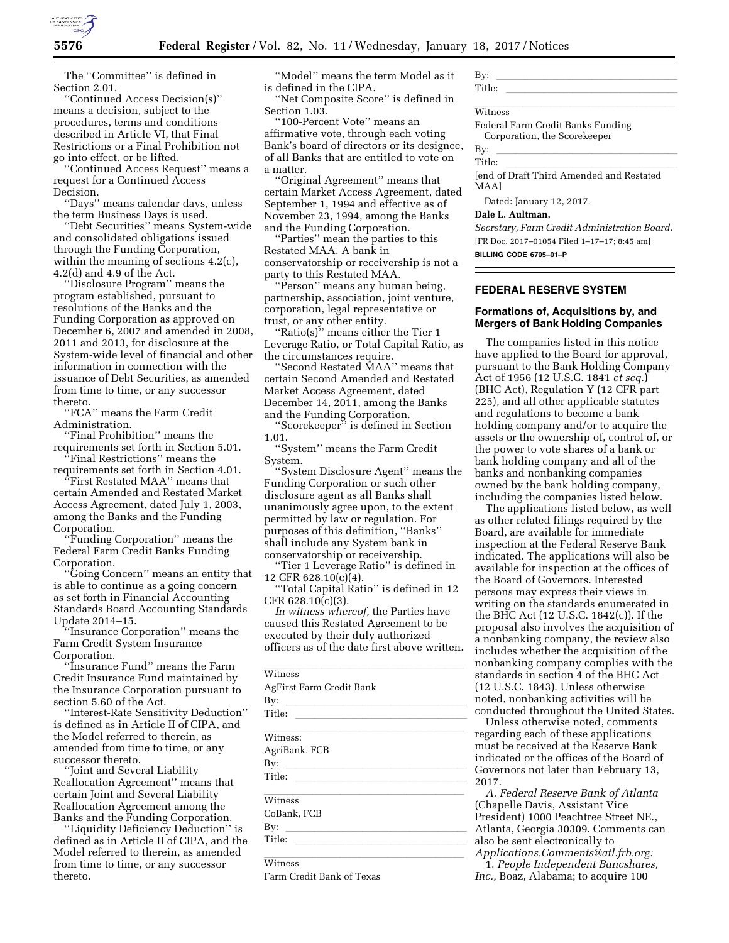

The ''Committee'' is defined in Section 2.01.

''Continued Access Decision(s)'' means a decision, subject to the procedures, terms and conditions described in Article VI, that Final Restrictions or a Final Prohibition not go into effect, or be lifted.

'Continued Access Request'' means a request for a Continued Access Decision.

''Days'' means calendar days, unless the term Business Days is used.

'Debt Securities'' means System-wide and consolidated obligations issued through the Funding Corporation, within the meaning of sections 4.2(c), 4.2(d) and 4.9 of the Act.

'Disclosure Program'' means the program established, pursuant to resolutions of the Banks and the Funding Corporation as approved on December 6, 2007 and amended in 2008, 2011 and 2013, for disclosure at the System-wide level of financial and other information in connection with the issuance of Debt Securities, as amended from time to time, or any successor thereto.

''FCA'' means the Farm Credit Administration.

'Final Prohibition'' means the requirements set forth in Section 5.01.

''Final Restrictions'' means the requirements set forth in Section 4.01. ''First Restated MAA'' means that

certain Amended and Restated Market Access Agreement, dated July 1, 2003, among the Banks and the Funding Corporation.

''Funding Corporation'' means the Federal Farm Credit Banks Funding Corporation.

''Going Concern'' means an entity that is able to continue as a going concern as set forth in Financial Accounting Standards Board Accounting Standards Update 2014–15.

'Insurance Corporation'' means the Farm Credit System Insurance Corporation.

'Insurance Fund'' means the Farm Credit Insurance Fund maintained by the Insurance Corporation pursuant to section 5.60 of the Act.

''Interest-Rate Sensitivity Deduction'' is defined as in Article II of CIPA, and the Model referred to therein, as amended from time to time, or any successor thereto.

''Joint and Several Liability Reallocation Agreement'' means that certain Joint and Several Liability Reallocation Agreement among the Banks and the Funding Corporation.

''Liquidity Deficiency Deduction'' is defined as in Article II of CIPA, and the Model referred to therein, as amended from time to time, or any successor thereto.

''Model'' means the term Model as it is defined in the CIPA.

'Net Composite Score'' is defined in Section 1.03.

''100-Percent Vote'' means an affirmative vote, through each voting Bank's board of directors or its designee, of all Banks that are entitled to vote on a matter.

'Original Agreement'' means that certain Market Access Agreement, dated September 1, 1994 and effective as of November 23, 1994, among the Banks and the Funding Corporation.

''Parties'' mean the parties to this Restated MAA. A bank in conservatorship or receivership is not a party to this Restated MAA.

''Person'' means any human being, partnership, association, joint venture, corporation, legal representative or trust, or any other entity.

''Ratio(s)'' means either the Tier 1 Leverage Ratio, or Total Capital Ratio, as the circumstances require.

'Second Restated MAA'' means that certain Second Amended and Restated Market Access Agreement, dated December 14, 2011, among the Banks and the Funding Corporation.

''Scorekeeper'' is defined in Section 1.01.

''System'' means the Farm Credit System.

''System Disclosure Agent'' means the Funding Corporation or such other disclosure agent as all Banks shall unanimously agree upon, to the extent permitted by law or regulation. For purposes of this definition, ''Banks'' shall include any System bank in conservatorship or receivership.

''Tier 1 Leverage Ratio'' is defined in 12 CFR 628.10(c)(4).

''Total Capital Ratio'' is defined in 12  $CFR 628.10(c)(3)$ .

*In witness whereof,* the Parties have caused this Restated Agreement to be executed by their duly authorized officers as of the date first above written.

| Witness                                                                                                                          |  |
|----------------------------------------------------------------------------------------------------------------------------------|--|
| AgFirst Farm Credit Bank                                                                                                         |  |
| By:<br>the control of the control of the control of the control of the control of                                                |  |
| Title:                                                                                                                           |  |
| <u> 1989 - Johann Stoff, amerikansk politiker (d. 1989)</u><br>Witness:                                                          |  |
| AgriBank, FCB                                                                                                                    |  |
| By: $\qquad \qquad$                                                                                                              |  |
| Title:                                                                                                                           |  |
| <u> 1989 - Johann Stein, markin sanat masjid asl a shekara ta 1989 - An an tsarat masjid asl a shekara ta 1980 - </u><br>Witness |  |
| CoBank. FCB                                                                                                                      |  |
| By:<br>the control of the control of the control of the control of the control of                                                |  |
| Title:                                                                                                                           |  |
|                                                                                                                                  |  |
| Witness                                                                                                                          |  |
| Farm Credit Bank of Texas                                                                                                        |  |

By:  $\frac{1}{\text{Titho}}$ 

Title: <u>lletter</u>

# Witness **Witness**

Federal Farm Credit Banks Funding Corporation, the Scorekeeper

By:  $\frac{1}{\text{Tidl}_\text{max}}$ 

Title:<br>[end of Draft Third Amended and Restated MAA]

Dated: January 12, 2017.

## **Dale L. Aultman,**

*Secretary, Farm Credit Administration Board.*  [FR Doc. 2017–01054 Filed 1–17–17; 8:45 am] **BILLING CODE 6705–01–P** 

# **FEDERAL RESERVE SYSTEM**

## **Formations of, Acquisitions by, and Mergers of Bank Holding Companies**

The companies listed in this notice have applied to the Board for approval, pursuant to the Bank Holding Company Act of 1956 (12 U.S.C. 1841 *et seq.*) (BHC Act), Regulation Y (12 CFR part 225), and all other applicable statutes and regulations to become a bank holding company and/or to acquire the assets or the ownership of, control of, or the power to vote shares of a bank or bank holding company and all of the banks and nonbanking companies owned by the bank holding company, including the companies listed below.

The applications listed below, as well as other related filings required by the Board, are available for immediate inspection at the Federal Reserve Bank indicated. The applications will also be available for inspection at the offices of the Board of Governors. Interested persons may express their views in writing on the standards enumerated in the BHC Act (12 U.S.C. 1842(c)). If the proposal also involves the acquisition of a nonbanking company, the review also includes whether the acquisition of the nonbanking company complies with the standards in section 4 of the BHC Act (12 U.S.C. 1843). Unless otherwise noted, nonbanking activities will be conducted throughout the United States.

Unless otherwise noted, comments regarding each of these applications must be received at the Reserve Bank indicated or the offices of the Board of Governors not later than February 13, 2017.

*A. Federal Reserve Bank of Atlanta*  (Chapelle Davis, Assistant Vice President) 1000 Peachtree Street NE., Atlanta, Georgia 30309. Comments can also be sent electronically to *[Applications.Comments@atl.frb.org:](mailto:Applications.Comments@atl.frb.org)* 

1. *People Independent Bancshares, Inc.,* Boaz, Alabama; to acquire 100